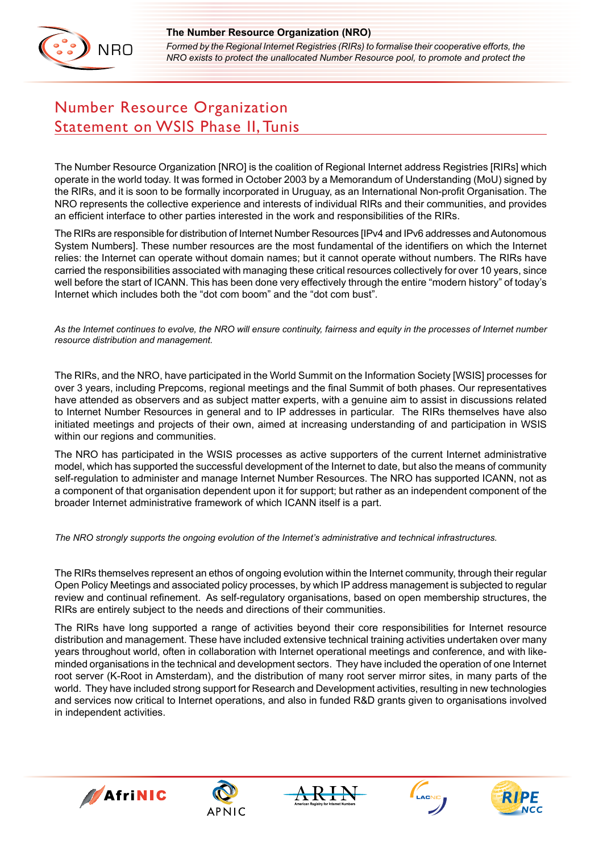

*Formed by the Regional Internet Registries (RIRs) to formalise their cooperative efforts, the NRO exists to protect the unallocated Number Resource pool, to promote and protect the* 

## Number Resource Organization Statement on WSIS Phase II, Tunis

The Number Resource Organization [NRO] is the coalition of Regional Internet address Registries [RIRs] which operate in the world today. It was formed in October 2003 by a Memorandum of Understanding (MoU) signed by the RIRs, and it is soon to be formally incorporated in Uruguay, as an International Non-profit Organisation. The NRO represents the collective experience and interests of individual RIRs and their communities, and provides an efficient interface to other parties interested in the work and responsibilities of the RIRs.

The RIRs are responsible for distribution of Internet Number Resources [IPv4 and IPv6 addresses and Autonomous System Numbers]. These number resources are the most fundamental of the identifiers on which the Internet relies: the Internet can operate without domain names; but it cannot operate without numbers. The RIRs have carried the responsibilities associated with managing these critical resources collectively for over 10 years, since well before the start of ICANN. This has been done very effectively through the entire "modern history" of today's Internet which includes both the "dot com boom" and the "dot com bust".

*As the Internet continues to evolve, the NRO will ensure continuity, fairness and equity in the processes of Internet number resource distribution and management.*

The RIRs, and the NRO, have participated in the World Summit on the Information Society [WSIS] processes for over 3 years, including Prepcoms, regional meetings and the final Summit of both phases. Our representatives have attended as observers and as subject matter experts, with a genuine aim to assist in discussions related to Internet Number Resources in general and to IP addresses in particular. The RIRs themselves have also initiated meetings and projects of their own, aimed at increasing understanding of and participation in WSIS within our regions and communities.

The NRO has participated in the WSIS processes as active supporters of the current Internet administrative model, which has supported the successful development of the Internet to date, but also the means of community self-regulation to administer and manage Internet Number Resources. The NRO has supported ICANN, not as a component of that organisation dependent upon it for support; but rather as an independent component of the broader Internet administrative framework of which ICANN itself is a part.

*The NRO strongly supports the ongoing evolution of the Internet's administrative and technical infrastructures.* 

The RIRs themselves represent an ethos of ongoing evolution within the Internet community, through their regular Open Policy Meetings and associated policy processes, by which IP address management is subjected to regular review and continual refinement. As self-regulatory organisations, based on open membership structures, the RIRs are entirely subject to the needs and directions of their communities.

The RIRs have long supported a range of activities beyond their core responsibilities for Internet resource distribution and management. These have included extensive technical training activities undertaken over many years throughout world, often in collaboration with Internet operational meetings and conference, and with likeminded organisations in the technical and development sectors. They have included the operation of one Internet root server (K-Root in Amsterdam), and the distribution of many root server mirror sites, in many parts of the world. They have included strong support for Research and Development activities, resulting in new technologies and services now critical to Internet operations, and also in funded R&D grants given to organisations involved in independent activities.